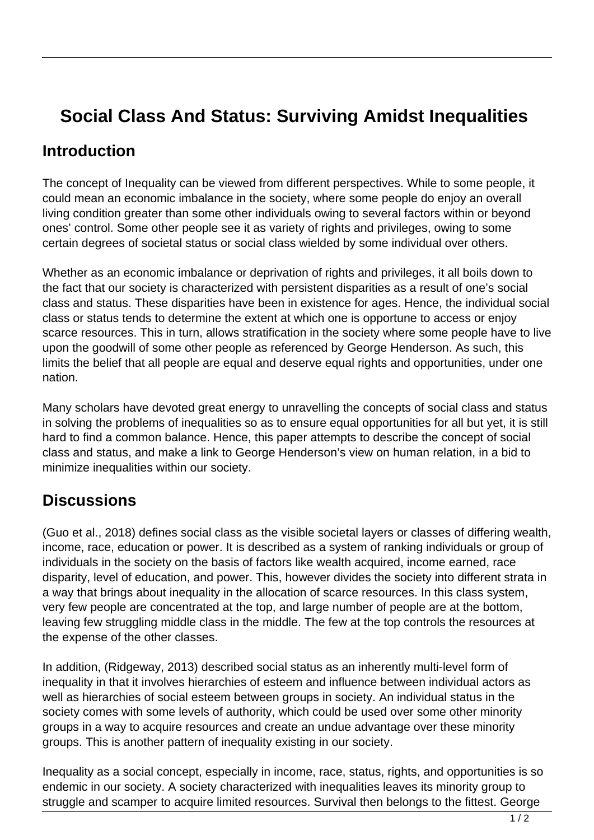## **Social Class And Status: Surviving Amidst Inequalities**

## **Introduction**

The concept of Inequality can be viewed from different perspectives. While to some people, it could mean an economic imbalance in the society, where some people do enjoy an overall living condition greater than some other individuals owing to several factors within or beyond ones' control. Some other people see it as variety of rights and privileges, owing to some certain degrees of societal status or social class wielded by some individual over others.

Whether as an economic imbalance or deprivation of rights and privileges, it all boils down to the fact that our society is characterized with persistent disparities as a result of one's social class and status. These disparities have been in existence for ages. Hence, the individual social class or status tends to determine the extent at which one is opportune to access or enjoy scarce resources. This in turn, allows stratification in the society where some people have to live upon the goodwill of some other people as referenced by George Henderson. As such, this limits the belief that all people are equal and deserve equal rights and opportunities, under one nation.

Many scholars have devoted great energy to unravelling the concepts of social class and status in solving the problems of inequalities so as to ensure equal opportunities for all but yet, it is still hard to find a common balance. Hence, this paper attempts to describe the concept of social class and status, and make a link to George Henderson's view on human relation, in a bid to minimize inequalities within our society.

## **Discussions**

(Guo et al., 2018) defines social class as the visible societal layers or classes of differing wealth, income, race, education or power. It is described as a system of ranking individuals or group of individuals in the society on the basis of factors like wealth acquired, income earned, race disparity, level of education, and power. This, however divides the society into different strata in a way that brings about inequality in the allocation of scarce resources. In this class system, very few people are concentrated at the top, and large number of people are at the bottom, leaving few struggling middle class in the middle. The few at the top controls the resources at the expense of the other classes.

In addition, (Ridgeway, 2013) described social status as an inherently multi-level form of inequality in that it involves hierarchies of esteem and influence between individual actors as well as hierarchies of social esteem between groups in society. An individual status in the society comes with some levels of authority, which could be used over some other minority groups in a way to acquire resources and create an undue advantage over these minority groups. This is another pattern of inequality existing in our society.

Inequality as a social concept, especially in income, race, status, rights, and opportunities is so endemic in our society. A society characterized with inequalities leaves its minority group to struggle and scamper to acquire limited resources. Survival then belongs to the fittest. George